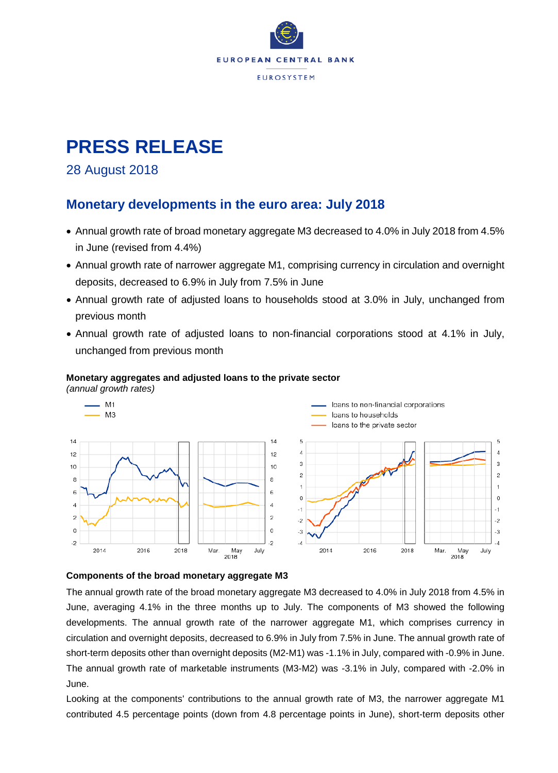

# **PRESS RELEASE**

### 28 August 2018

### **Monetary developments in the euro area: July 2018**

- Annual growth rate of broad monetary aggregate M3 decreased to 4.0% in July 2018 from 4.5% in June (revised from 4.4%)
- Annual growth rate of narrower aggregate M1, comprising currency in circulation and overnight deposits, decreased to 6.9% in July from 7.5% in June
- Annual growth rate of adjusted loans to households stood at 3.0% in July, unchanged from previous month
- Annual growth rate of adjusted loans to non-financial corporations stood at 4.1% in July, unchanged from previous month



#### **Monetary aggregates and adjusted loans to the private sector**

*(annual growth rates)*

#### **Components of the broad monetary aggregate M3**

The annual growth rate of the broad monetary aggregate M3 decreased to 4.0% in July 2018 from 4.5% in June, averaging 4.1% in the three months up to July. The components of M3 showed the following developments. The annual growth rate of the narrower aggregate M1, which comprises currency in circulation and overnight deposits, decreased to 6.9% in July from 7.5% in June. The annual growth rate of short-term deposits other than overnight deposits (M2-M1) was -1.1% in July, compared with -0.9% in June. The annual growth rate of marketable instruments (M3-M2) was -3.1% in July, compared with -2.0% in June.

Looking at the components' contributions to the annual growth rate of M3, the narrower aggregate M1 contributed 4.5 percentage points (down from 4.8 percentage points in June), short-term deposits other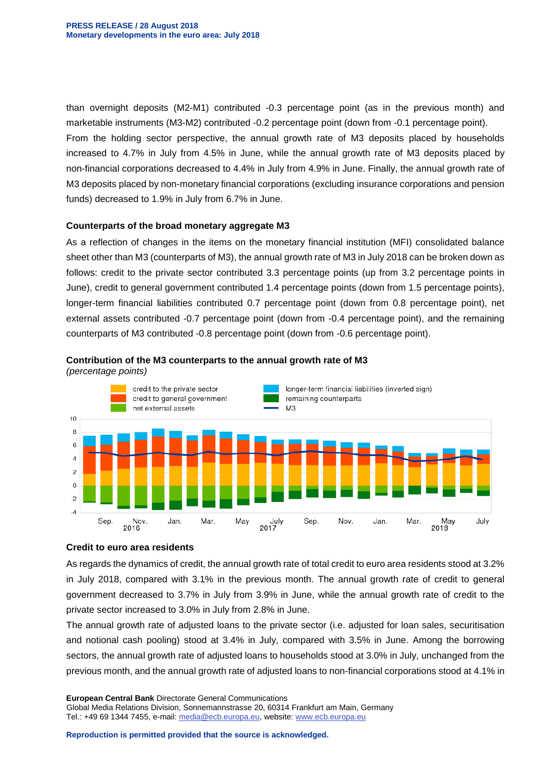than overnight deposits (M2-M1) contributed -0.3 percentage point (as in the previous month) and marketable instruments (M3-M2) contributed -0.2 percentage point (down from -0.1 percentage point). From the holding sector perspective, the annual growth rate of M3 deposits placed by households increased to 4.7% in July from 4.5% in June, while the annual growth rate of M3 deposits placed by non-financial corporations decreased to 4.4% in July from 4.9% in June. Finally, the annual growth rate of M3 deposits placed by non-monetary financial corporations (excluding insurance corporations and pension funds) decreased to 1.9% in July from 6.7% in June.

#### **Counterparts of the broad monetary aggregate M3**

As a reflection of changes in the items on the monetary financial institution (MFI) consolidated balance sheet other than M3 (counterparts of M3), the annual growth rate of M3 in July 2018 can be broken down as follows: credit to the private sector contributed 3.3 percentage points (up from 3.2 percentage points in June), credit to general government contributed 1.4 percentage points (down from 1.5 percentage points), longer-term financial liabilities contributed 0.7 percentage point (down from 0.8 percentage point), net external assets contributed -0.7 percentage point (down from -0.4 percentage point), and the remaining counterparts of M3 contributed -0.8 percentage point (down from -0.6 percentage point).





*(percentage points)*

#### **Credit to euro area residents**

As regards the dynamics of credit, the annual growth rate of total credit to euro area residents stood at 3.2% in July 2018, compared with 3.1% in the previous month. The annual growth rate of credit to general government decreased to 3.7% in July from 3.9% in June, while the annual growth rate of credit to the private sector increased to 3.0% in July from 2.8% in June.

The annual growth rate of adjusted loans to the private sector (i.e. adjusted for loan sales, securitisation and notional cash pooling) stood at 3.4% in July, compared with 3.5% in June. Among the borrowing sectors, the annual growth rate of adjusted loans to households stood at 3.0% in July, unchanged from the previous month, and the annual growth rate of adjusted loans to non-financial corporations stood at 4.1% in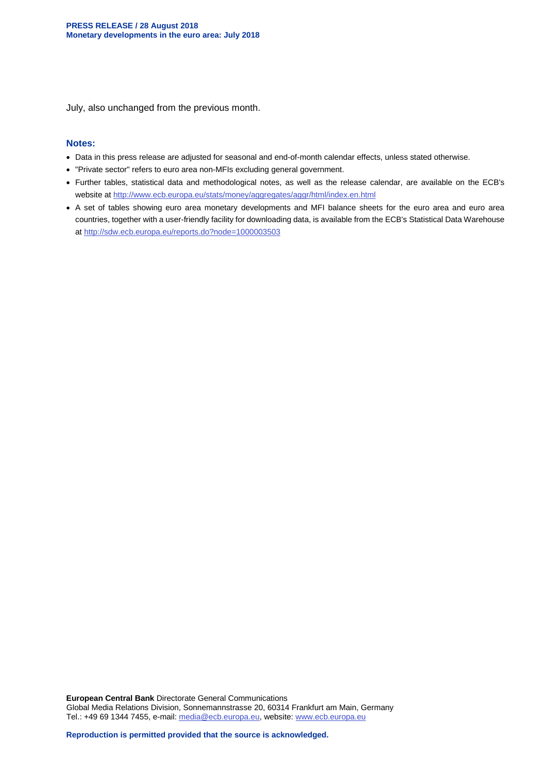July, also unchanged from the previous month.

#### **Notes:**

- Data in this press release are adjusted for seasonal and end-of-month calendar effects, unless stated otherwise.
- "Private sector" refers to euro area non-MFIs excluding general government.
- Further tables, statistical data and methodological notes, as well as the release calendar, are available on the ECB's website at<http://www.ecb.europa.eu/stats/money/aggregates/aggr/html/index.en.html>
- A set of tables showing euro area monetary developments and MFI balance sheets for the euro area and euro area countries, together with a user-friendly facility for downloading data, is available from the ECB's Statistical Data Warehouse at <http://sdw.ecb.europa.eu/reports.do?node=1000003503>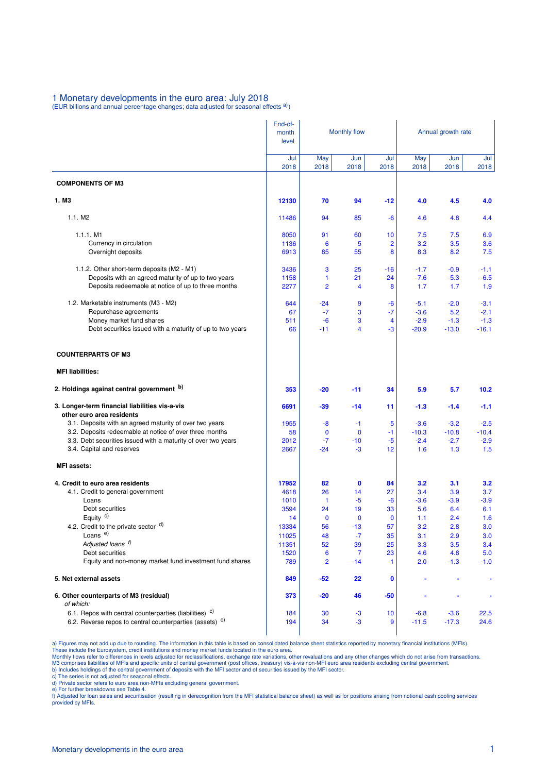### 1 Monetary developments in the euro area: July 2018<br>(EUR billions and annual percentage changes; data adjusted for seasonal effects <sup>a)</sup>)

|                                                                             | End-of-<br>month<br>level | <b>Monthly flow</b> |                      |                   | Annual growth rate |             |             |  |
|-----------------------------------------------------------------------------|---------------------------|---------------------|----------------------|-------------------|--------------------|-------------|-------------|--|
|                                                                             | Jul<br>2018               | May<br>2018         | Jun<br>2018          | Jul<br>2018       | May<br>2018        | Jun<br>2018 | Jul<br>2018 |  |
| <b>COMPONENTS OF M3</b>                                                     |                           |                     |                      |                   |                    |             |             |  |
| 1. M3                                                                       | 12130                     | 70                  | 94                   | $-12$             | 4.0                | 4.5         | 4.0         |  |
| 1.1. M2                                                                     | 11486                     | 94                  | 85                   | -6                | 4.6                | 4.8         | 4.4         |  |
| 1.1.1. M1                                                                   | 8050                      | 91                  | 60                   | 10                | 7.5                | 7.5         | 6.9         |  |
| Currency in circulation                                                     | 1136                      | 6                   | 5                    | $\overline{2}$    | 3.2                | 3.5         | 3.6         |  |
| Overnight deposits                                                          | 6913                      | 85                  | 55                   | 8                 | 8.3                | 8.2         | 7.5         |  |
| 1.1.2. Other short-term deposits (M2 - M1)                                  | 3436                      | 3                   | 25                   | -16               | $-1.7$             | $-0.9$      | $-1.1$      |  |
| Deposits with an agreed maturity of up to two years                         | 1158                      | 1                   | 21                   | $-24$             | $-7.6$             | $-5.3$      | $-6.5$      |  |
| Deposits redeemable at notice of up to three months                         | 2277                      | $\overline{2}$      | 4                    | 8                 | 1.7                | 1.7         | 1.9         |  |
| 1.2. Marketable instruments (M3 - M2)                                       | 644                       | $-24$               | 9                    | -6                | $-5.1$             | $-2.0$      | $-3.1$      |  |
| Repurchase agreements                                                       | 67                        | $-7$                | 3                    | $-7$              | $-3.6$             | 5.2         | $-2.1$      |  |
| Money market fund shares                                                    | 511                       | $-6$                | 3                    | 4                 | $-2.9$             | $-1.3$      | $-1.3$      |  |
| Debt securities issued with a maturity of up to two years                   | 66                        | $-11$               | 4                    | -3                | $-20.9$            | $-13.0$     | $-16.1$     |  |
| <b>COUNTERPARTS OF M3</b>                                                   |                           |                     |                      |                   |                    |             |             |  |
| <b>MFI liabilities:</b>                                                     |                           |                     |                      |                   |                    |             |             |  |
| 2. Holdings against central government b)                                   | 353                       | $-20$               | -11                  | 34                | 5.9                | 5.7         | 10.2        |  |
| 3. Longer-term financial liabilities vis-a-vis<br>other euro area residents | 6691                      | $-39$               | $-14$                | 11                | $-1.3$             | $-1.4$      | $-1.1$      |  |
| 3.1. Deposits with an agreed maturity of over two years                     | 1955                      | -8                  | $-1$                 | 5                 | $-3.6$             | $-3.2$      | $-2.5$      |  |
| 3.2. Deposits redeemable at notice of over three months                     | 58                        | $\mathbf 0$         | $\mathbf 0$          | $-1$              | $-10.3$            | $-10.8$     | $-10.4$     |  |
| 3.3. Debt securities issued with a maturity of over two years               | 2012                      | $-7$                | $-10$                | $-5$              | $-2.4$             | $-2.7$      | $-2.9$      |  |
| 3.4. Capital and reserves                                                   | 2667                      | $-24$               | $-3$                 | 12                | 1.6                | 1.3         | 1.5         |  |
| <b>MFI</b> assets:                                                          |                           |                     |                      |                   |                    |             |             |  |
| 4. Credit to euro area residents                                            | 17952                     | 82                  | $\mathbf 0$          | 84                | 3.2                | 3.1         | 3.2         |  |
| 4.1. Credit to general government                                           | 4618                      | 26                  | 14                   | 27                | 3.4                | 3.9         | 3.7         |  |
| Loans                                                                       | 1010                      | $\mathbf{1}$        | $-5$                 | $-6$              | $-3.6$             | $-3.9$      | $-3.9$      |  |
| Debt securities<br>Equity $c$ )                                             | 3594                      | 24                  | 19                   | 33                | 5.6                | 6.4         | 6.1         |  |
| 4.2. Credit to the private sector $\alpha$ )                                | 14<br>13334               | $\bf{0}$<br>56      | $\mathbf 0$<br>$-13$ | $\mathbf 0$<br>57 | 1.1<br>3.2         | 2.4<br>2.8  | 1.6<br>3.0  |  |
| Loans <sup>e)</sup>                                                         | 11025                     | 48                  | $-7$                 | 35                | 3.1                | 2.9         | 3.0         |  |
| Adjusted loans f)                                                           | 11351                     | 52                  | 39                   | 25                | 3.3                | 3.5         | 3.4         |  |
| Debt securities                                                             | 1520                      | 6                   | 7                    | 23                | 4.6                | 4.8         | 5.0         |  |
| Equity and non-money market fund investment fund shares                     | 789                       | 2                   | $-14$                | $-1$              | 2.0                | $-1.3$      | $-1.0$      |  |
| 5. Net external assets                                                      | 849                       | $-52$               | 22                   | 0                 |                    |             | ٠           |  |
| 6. Other counterparts of M3 (residual)<br>of which:                         | 373                       | $-20$               | 46                   | $-50$             |                    |             |             |  |
| 6.1. Repos with central counterparties (liabilities) <sup>c)</sup>          | 184                       | 30                  | -3                   | 10                | $-6.8$             | $-3.6$      | 22.5        |  |
| 6.2. Reverse repos to central counterparties (assets) <sup>c)</sup>         | 194                       | 34                  | -3                   | 9                 | $-11.5$            | $-17.3$     | 24.6        |  |

a) Figures may not add up due to rounding. The information in this table is based on consolidated balance sheet statistics reported by monetary financial institutions (MFIs).<br>These include the Eurosystem, credit institutio

c) The series is not adjusted for seasonal effects. d) Private sector refers to euro area non-MFIs excluding general government.

e) For further breakdowns see Table 4.<br>f) Adjusted for loan sales and securitisation (resulting in derecognition from the MFI statistical balance sheet) as well as for positions arising from notional cash pooling services provided by MFIs.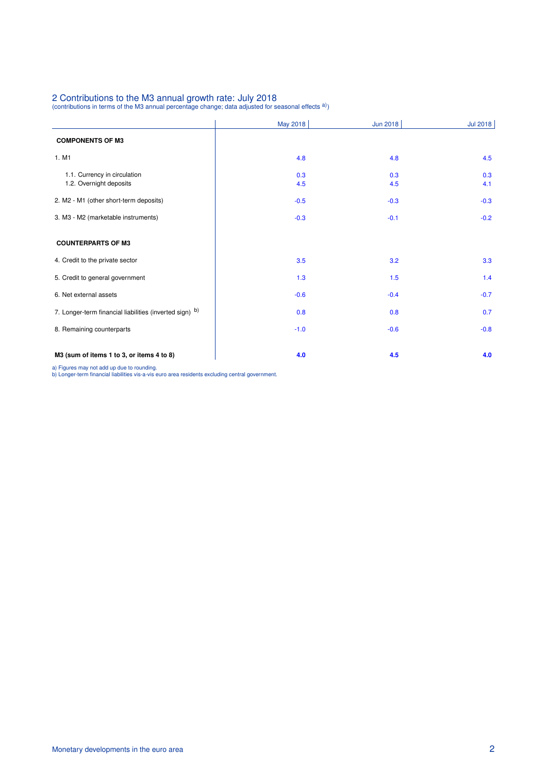## 2 Contributions to the M3 annual growth rate: July 2018<br>(contributions in terms of the M3 annual percentage change; data adjusted for seasonal effects <sup>a)</sup>)

|                                                         | May 2018   | Jun 2018   | <b>Jul 2018</b> |
|---------------------------------------------------------|------------|------------|-----------------|
| <b>COMPONENTS OF M3</b>                                 |            |            |                 |
| 1. M1                                                   | 4.8        | 4.8        | 4.5             |
| 1.1. Currency in circulation<br>1.2. Overnight deposits | 0.3<br>4.5 | 0.3<br>4.5 | 0.3<br>4.1      |
| 2. M2 - M1 (other short-term deposits)                  | $-0.5$     | $-0.3$     | $-0.3$          |
| 3. M3 - M2 (marketable instruments)                     | $-0.3$     | $-0.1$     | $-0.2$          |
| <b>COUNTERPARTS OF M3</b>                               |            |            |                 |
| 4. Credit to the private sector                         | 3.5        | 3.2        | 3.3             |
| 5. Credit to general government                         | 1.3        | 1.5        | 1.4             |
| 6. Net external assets                                  | $-0.6$     | $-0.4$     | $-0.7$          |
| 7. Longer-term financial liabilities (inverted sign) b) | 0.8        | 0.8        | 0.7             |
| 8. Remaining counterparts                               | $-1.0$     | $-0.6$     | $-0.8$          |
| M3 (sum of items 1 to 3, or items 4 to 8)               | 4.0        | 4.5        | 4.0             |

a) Figures may not add up due to rounding. b) Longer-term financial liabilities vis-a-vis euro area residents excluding central government.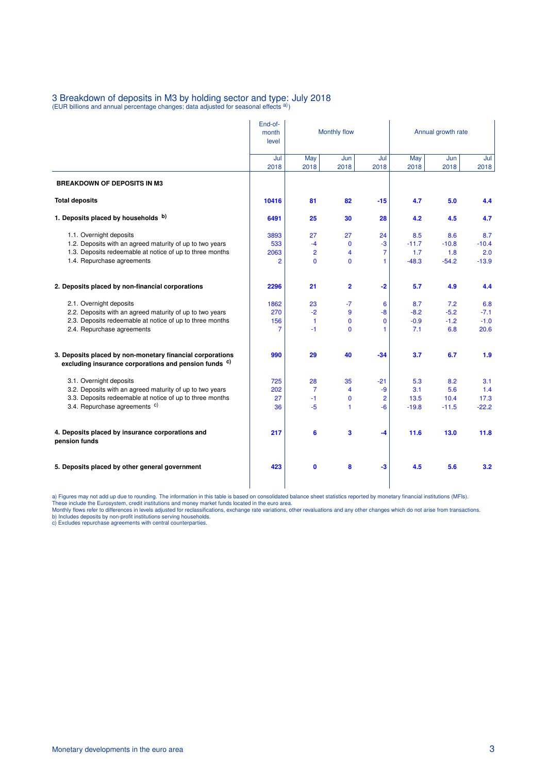## 3 Breakdown of deposits in M3 by holding sector and type: July 2018<br>(EUR billions and annual percentage changes; data adjusted for seasonal effects <sup>a)</sup>)

|                                                                                                                               | End-of-        |                 |                         |                |                    |         |         |  |
|-------------------------------------------------------------------------------------------------------------------------------|----------------|-----------------|-------------------------|----------------|--------------------|---------|---------|--|
|                                                                                                                               | month          | Monthly flow    |                         |                | Annual growth rate |         |         |  |
|                                                                                                                               | level          |                 |                         |                |                    |         |         |  |
|                                                                                                                               | Jul            | May             | Jun                     | Jul            | May                | Jun     | Jul     |  |
|                                                                                                                               | 2018           | 2018            | 2018                    | 2018           | 2018               | 2018    | 2018    |  |
| <b>BREAKDOWN OF DEPOSITS IN M3</b>                                                                                            |                |                 |                         |                |                    |         |         |  |
| <b>Total deposits</b>                                                                                                         | 10416          | 81              | 82                      | $-15$          | 4.7                | 5.0     | 4.4     |  |
| 1. Deposits placed by households b)                                                                                           | 6491           | 25              | 30                      | 28             | 4.2                | 4.5     | 4.7     |  |
| 1.1. Overnight deposits                                                                                                       | 3893           | 27              | 27                      | 24             | 8.5                | 8.6     | 8.7     |  |
| 1.2. Deposits with an agreed maturity of up to two years                                                                      | 533            | $-4$            | $\mathbf{0}$            | $-3$           | $-11.7$            | $-10.8$ | $-10.4$ |  |
| 1.3. Deposits redeemable at notice of up to three months                                                                      | 2063           | $\overline{2}$  | 4                       | 7              | 1.7                | 1.8     | 2.0     |  |
| 1.4. Repurchase agreements                                                                                                    | 2              | $\Omega$        | 0                       | 1.             | $-48.3$            | $-54.2$ | $-13.9$ |  |
| 2. Deposits placed by non-financial corporations                                                                              | 2296           | 21              | $\overline{\mathbf{2}}$ |                | 5.7                | 4.9     | 4.4     |  |
|                                                                                                                               |                |                 |                         | $-2$           |                    |         |         |  |
| 2.1. Overnight deposits                                                                                                       | 1862           | 23              | $-7$                    | 6              | 8.7                | 7.2     | 6.8     |  |
| 2.2. Deposits with an agreed maturity of up to two years                                                                      | 270            | $-2$            | 9                       | $-8$           | $-8.2$             | $-5.2$  | $-7.1$  |  |
| 2.3. Deposits redeemable at notice of up to three months                                                                      | 156            | $\mathbf{1}$    | 0                       | $\mathbf 0$    | $-0.9$             | $-1.2$  | $-1.0$  |  |
| 2.4. Repurchase agreements                                                                                                    | $\overline{7}$ | $-1$            | $\mathbf{0}$            | 1              | 7.1                | 6.8     | 20.6    |  |
| 3. Deposits placed by non-monetary financial corporations<br>excluding insurance corporations and pension funds <sup>c)</sup> | 990            | 29              | 40                      | $-34$          | 3.7                | 6.7     | 1.9     |  |
| 3.1. Overnight deposits                                                                                                       | 725            | 28              | 35                      | $-21$          | 5.3                | 8.2     | 3.1     |  |
| 3.2. Deposits with an agreed maturity of up to two years                                                                      | 202            | $\overline{7}$  | 4                       | $-9$           | 3.1                | 5.6     | 1.4     |  |
| 3.3. Deposits redeemable at notice of up to three months                                                                      | 27             | $-1$            | 0                       | $\overline{2}$ | 13.5               | 10.4    | 17.3    |  |
| 3.4. Repurchase agreements <sup>c)</sup>                                                                                      | 36             | $-5$            | 1                       | $-6$           | $-19.8$            | $-11.5$ | $-22.2$ |  |
| 4. Deposits placed by insurance corporations and<br>pension funds                                                             | 217            | $6\phantom{1}6$ | 3                       | $-4$           | 11.6               | 13.0    | 11.8    |  |
| 5. Deposits placed by other general government                                                                                | 423            | $\mathbf{0}$    | 8                       | $-3$           | 4.5                | 5.6     | 3.2     |  |
|                                                                                                                               |                |                 |                         |                |                    |         |         |  |

a) Figures may not add up due to rounding. The information in this table is based on consolidated balance sheet statistics reported by monetary financial institutions (MFIs).<br>These include the Eurosystem, credit institutio